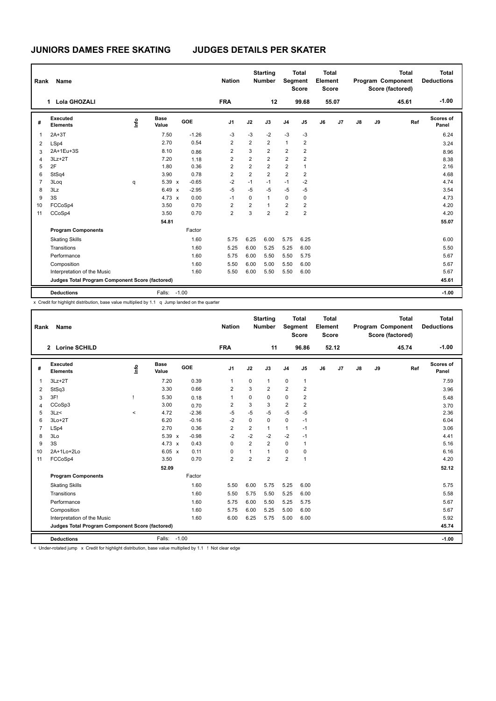| Rank           | Name                                            |                                  |                      |            | <b>Nation</b>  |                | <b>Starting</b><br><b>Number</b> | Segment                 | <b>Total</b><br><b>Score</b> | <b>Total</b><br>Element<br><b>Score</b> |       |    |    | <b>Total</b><br>Program Component<br>Score (factored) | <b>Total</b><br><b>Deductions</b> |
|----------------|-------------------------------------------------|----------------------------------|----------------------|------------|----------------|----------------|----------------------------------|-------------------------|------------------------------|-----------------------------------------|-------|----|----|-------------------------------------------------------|-----------------------------------|
|                | Lola GHOZALI<br>1.                              |                                  |                      |            | <b>FRA</b>     |                | 12                               |                         | 99.68                        |                                         | 55.07 |    |    | 45.61                                                 | $-1.00$                           |
| #              | Executed<br><b>Elements</b>                     | $\mathop{\mathsf{Int}}\nolimits$ | <b>Base</b><br>Value | <b>GOE</b> | J <sub>1</sub> | J2             | J3                               | J <sub>4</sub>          | J <sub>5</sub>               | J6                                      | J7    | J8 | J9 | Ref                                                   | Scores of<br>Panel                |
| $\overline{1}$ | $2A+3T$                                         |                                  | 7.50                 | $-1.26$    | $-3$           | $-3$           | $-2$                             | $-3$                    | $-3$                         |                                         |       |    |    |                                                       | 6.24                              |
| 2              | LSp4                                            |                                  | 2.70                 | 0.54       | $\overline{2}$ | $\overline{2}$ | $\overline{2}$                   | $\mathbf{1}$            | $\overline{2}$               |                                         |       |    |    |                                                       | 3.24                              |
| 3              | 2A+1Eu+3S                                       |                                  | 8.10                 | 0.86       | 2              | 3              | $\overline{2}$                   | $\overline{\mathbf{c}}$ | $\overline{c}$               |                                         |       |    |    |                                                       | 8.96                              |
| $\overline{4}$ | $3Lz + 2T$                                      |                                  | 7.20                 | 1.18       | 2              | $\overline{2}$ | $\overline{2}$                   | $\overline{2}$          | $\overline{2}$               |                                         |       |    |    |                                                       | 8.38                              |
| 5              | 2F                                              |                                  | 1.80                 | 0.36       | $\overline{2}$ | $\overline{2}$ | $\overline{2}$                   | $\overline{2}$          | $\overline{1}$               |                                         |       |    |    |                                                       | 2.16                              |
| 6              | StSq4                                           |                                  | 3.90                 | 0.78       | $\overline{2}$ | $\overline{2}$ | $\overline{2}$                   | $\overline{2}$          | $\overline{2}$               |                                         |       |    |    |                                                       | 4.68                              |
| $\overline{7}$ | 3Loq                                            | q                                | 5.39 x               | $-0.65$    | $-2$           | $-1$           | $-1$                             | $-1$                    | $-2$                         |                                         |       |    |    |                                                       | 4.74                              |
| 8              | 3Lz                                             |                                  | $6.49 \times$        | $-2.95$    | $-5$           | $-5$           | $-5$                             | $-5$                    | $-5$                         |                                         |       |    |    |                                                       | 3.54                              |
| 9              | 3S                                              |                                  | $4.73 \times$        | 0.00       | $-1$           | 0              | $\mathbf{1}$                     | $\mathbf 0$             | 0                            |                                         |       |    |    |                                                       | 4.73                              |
| 10             | FCCoSp4                                         |                                  | 3.50                 | 0.70       | $\overline{2}$ | $\overline{2}$ | $\mathbf{1}$                     | $\overline{2}$          | $\overline{2}$               |                                         |       |    |    |                                                       | 4.20                              |
| 11             | CCoSp4                                          |                                  | 3.50                 | 0.70       | $\overline{2}$ | 3              | $\overline{2}$                   | $\overline{2}$          | $\overline{2}$               |                                         |       |    |    |                                                       | 4.20                              |
|                |                                                 |                                  | 54.81                |            |                |                |                                  |                         |                              |                                         |       |    |    |                                                       | 55.07                             |
|                | <b>Program Components</b>                       |                                  |                      | Factor     |                |                |                                  |                         |                              |                                         |       |    |    |                                                       |                                   |
|                | <b>Skating Skills</b>                           |                                  |                      | 1.60       | 5.75           | 6.25           | 6.00                             | 5.75                    | 6.25                         |                                         |       |    |    |                                                       | 6.00                              |
|                | Transitions                                     |                                  |                      | 1.60       | 5.25           | 6.00           | 5.25                             | 5.25                    | 6.00                         |                                         |       |    |    |                                                       | 5.50                              |
|                | Performance                                     |                                  |                      | 1.60       | 5.75           | 6.00           | 5.50                             | 5.50                    | 5.75                         |                                         |       |    |    |                                                       | 5.67                              |
|                | Composition                                     |                                  |                      | 1.60       | 5.50           | 6.00           | 5.00                             | 5.50                    | 6.00                         |                                         |       |    |    |                                                       | 5.67                              |
|                | Interpretation of the Music                     |                                  |                      | 1.60       | 5.50           | 6.00           | 5.50                             | 5.50                    | 6.00                         |                                         |       |    |    |                                                       | 5.67                              |
|                | Judges Total Program Component Score (factored) |                                  |                      |            |                |                |                                  |                         |                              |                                         |       |    |    |                                                       | 45.61                             |
|                | <b>Deductions</b>                               |                                  | Falls: -1.00         |            |                |                |                                  |                         |                              |                                         |       |    |    |                                                       | $-1.00$                           |

x Credit for highlight distribution, base value multiplied by 1.1 q Jump landed on the quarter

| Rank           | <b>Name</b>                                     |         |                      |         | <b>Nation</b>  |                | <b>Starting</b><br><b>Number</b> | Segment        | <b>Total</b><br><b>Score</b> | Total<br>Element<br>Score |                |               |    | <b>Total</b><br>Program Component<br>Score (factored) | Total<br><b>Deductions</b> |
|----------------|-------------------------------------------------|---------|----------------------|---------|----------------|----------------|----------------------------------|----------------|------------------------------|---------------------------|----------------|---------------|----|-------------------------------------------------------|----------------------------|
|                | 2 Lorine SCHILD                                 |         |                      |         | <b>FRA</b>     |                | 11                               |                | 96.86                        |                           | 52.12          |               |    | 45.74                                                 | $-1.00$                    |
| #              | Executed<br><b>Elements</b>                     | Linfo   | <b>Base</b><br>Value | GOE     | J <sub>1</sub> | J2             | J3                               | J <sub>4</sub> | J <sub>5</sub>               | J6                        | J <sub>7</sub> | $\mathsf{J}8$ | J9 | Ref                                                   | Scores of<br>Panel         |
| $\overline{1}$ | $3Lz + 2T$                                      |         | 7.20                 | 0.39    | $\mathbf{1}$   | 0              | 1                                | $\mathbf 0$    | $\mathbf{1}$                 |                           |                |               |    |                                                       | 7.59                       |
| 2              | StSq3                                           |         | 3.30                 | 0.66    | $\overline{2}$ | 3              | $\overline{2}$                   | $\overline{2}$ | $\overline{2}$               |                           |                |               |    |                                                       | 3.96                       |
| 3              | 3F!                                             |         | 5.30                 | 0.18    | $\overline{1}$ | $\mathbf 0$    | $\Omega$                         | 0              | $\overline{2}$               |                           |                |               |    |                                                       | 5.48                       |
| 4              | CCoSp3                                          |         | 3.00                 | 0.70    | $\overline{2}$ | 3              | 3                                | $\overline{2}$ | $\overline{2}$               |                           |                |               |    |                                                       | 3.70                       |
| 5              | 3Lz<                                            | $\prec$ | 4.72                 | $-2.36$ | $-5$           | $-5$           | $-5$                             | $-5$           | $-5$                         |                           |                |               |    |                                                       | 2.36                       |
| 6              | $3Lo+2T$                                        |         | 6.20                 | $-0.16$ | $-2$           | 0              | 0                                | $\mathbf 0$    | $-1$                         |                           |                |               |    |                                                       | 6.04                       |
| $\overline{7}$ | LSp4                                            |         | 2.70                 | 0.36    | $\overline{2}$ | $\overline{2}$ | $\mathbf{1}$                     | $\mathbf{1}$   | $-1$                         |                           |                |               |    |                                                       | 3.06                       |
| 8              | 3Lo                                             |         | 5.39 x               | $-0.98$ | $-2$           | $-2$           | $-2$                             | $-2$           | $-1$                         |                           |                |               |    |                                                       | 4.41                       |
| 9              | 3S                                              |         | $4.73 \times$        | 0.43    | $\mathbf 0$    | $\overline{2}$ | $\overline{2}$                   | $\mathbf 0$    | 1                            |                           |                |               |    |                                                       | 5.16                       |
| 10             | 2A+1Lo+2Lo                                      |         | 6.05 x               | 0.11    | 0              | 1              | 1                                | 0              | 0                            |                           |                |               |    |                                                       | 6.16                       |
| 11             | FCCoSp4                                         |         | 3.50                 | 0.70    | $\overline{2}$ | $\overline{2}$ | $\overline{2}$                   | $\overline{2}$ | $\mathbf{1}$                 |                           |                |               |    |                                                       | 4.20                       |
|                |                                                 |         | 52.09                |         |                |                |                                  |                |                              |                           |                |               |    |                                                       | 52.12                      |
|                | <b>Program Components</b>                       |         |                      | Factor  |                |                |                                  |                |                              |                           |                |               |    |                                                       |                            |
|                | <b>Skating Skills</b>                           |         |                      | 1.60    | 5.50           | 6.00           | 5.75                             | 5.25           | 6.00                         |                           |                |               |    |                                                       | 5.75                       |
|                | Transitions                                     |         |                      | 1.60    | 5.50           | 5.75           | 5.50                             | 5.25           | 6.00                         |                           |                |               |    |                                                       | 5.58                       |
|                | Performance                                     |         |                      | 1.60    | 5.75           | 6.00           | 5.50                             | 5.25           | 5.75                         |                           |                |               |    |                                                       | 5.67                       |
|                | Composition                                     |         |                      | 1.60    | 5.75           | 6.00           | 5.25                             | 5.00           | 6.00                         |                           |                |               |    |                                                       | 5.67                       |
|                | Interpretation of the Music                     |         |                      | 1.60    | 6.00           | 6.25           | 5.75                             | 5.00           | 6.00                         |                           |                |               |    |                                                       | 5.92                       |
|                | Judges Total Program Component Score (factored) |         |                      |         |                |                |                                  |                |                              |                           |                |               |    |                                                       | 45.74                      |
|                | <b>Deductions</b>                               |         | Falls:               | $-1.00$ |                |                |                                  |                |                              |                           |                |               |    |                                                       | $-1.00$                    |

< Under-rotated jump x Credit for highlight distribution, base value multiplied by 1.1 ! Not clear edge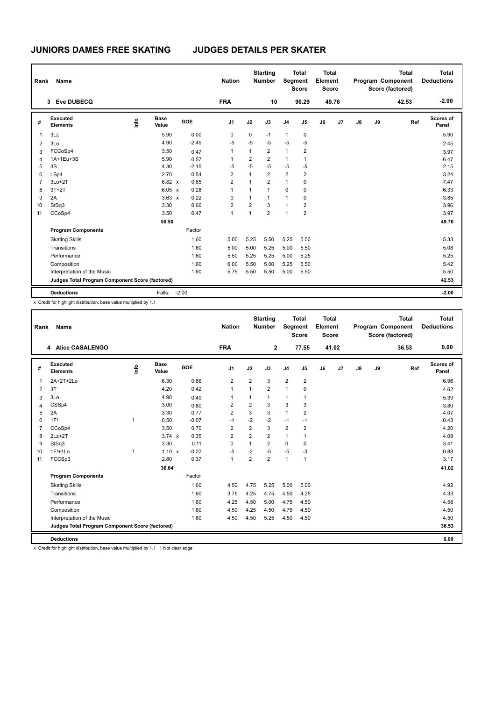| Rank           | Name                                            |                                  |                      |         | <b>Nation</b>  |                | <b>Starting</b><br><b>Number</b> | Segment        | <b>Total</b><br><b>Score</b> | <b>Total</b><br>Element<br><b>Score</b> |       |               |    | <b>Total</b><br>Program Component<br>Score (factored) | <b>Total</b><br><b>Deductions</b> |
|----------------|-------------------------------------------------|----------------------------------|----------------------|---------|----------------|----------------|----------------------------------|----------------|------------------------------|-----------------------------------------|-------|---------------|----|-------------------------------------------------------|-----------------------------------|
|                | <b>Eve DUBECQ</b><br>3                          |                                  |                      |         | <b>FRA</b>     |                | 10                               |                | 90.29                        |                                         | 49.76 |               |    | 42.53                                                 | $-2.00$                           |
| #              | Executed<br><b>Elements</b>                     | $\mathop{\mathsf{Int}}\nolimits$ | <b>Base</b><br>Value | GOE     | J <sub>1</sub> | J2             | J3                               | J <sub>4</sub> | J5                           | J6                                      | J7    | $\mathsf{J}8$ | J9 | Ref                                                   | Scores of<br>Panel                |
| $\overline{1}$ | 3Lz                                             |                                  | 5.90                 | 0.00    | 0              | 0              | $-1$                             | $\mathbf{1}$   | 0                            |                                         |       |               |    |                                                       | 5.90                              |
| $\overline{2}$ | 3Lo                                             |                                  | 4.90                 | $-2.45$ | $-5$           | $-5$           | $-5$                             | $-5$           | $-5$                         |                                         |       |               |    |                                                       | 2.45                              |
| 3              | FCCoSp4                                         |                                  | 3.50                 | 0.47    | 1              | 1              | $\overline{2}$                   | $\mathbf{1}$   | $\overline{2}$               |                                         |       |               |    |                                                       | 3.97                              |
| $\overline{4}$ | 1A+1Eu+3S                                       |                                  | 5.90                 | 0.57    | 1              | $\overline{2}$ | $\overline{2}$                   | $\mathbf{1}$   | $\overline{1}$               |                                         |       |               |    |                                                       | 6.47                              |
| 5              | 3S                                              |                                  | 4.30                 | $-2.15$ | $-5$           | $-5$           | $-5$                             | $-5$           | $-5$                         |                                         |       |               |    |                                                       | 2.15                              |
| 6              | LSp4                                            |                                  | 2.70                 | 0.54    | $\overline{2}$ | $\mathbf{1}$   | $\overline{2}$                   | $\overline{2}$ | $\overline{2}$               |                                         |       |               |    |                                                       | 3.24                              |
| $\overline{7}$ | $3Lo+2T$                                        |                                  | 6.82 x               | 0.65    | $\overline{2}$ | $\overline{1}$ | $\overline{2}$                   | $\mathbf{1}$   | $\mathbf 0$                  |                                         |       |               |    |                                                       | 7.47                              |
| 8              | $3T+2T$                                         |                                  | 6.05 x               | 0.28    | 1              | 1              | $\mathbf{1}$                     | 0              | 0                            |                                         |       |               |    |                                                       | 6.33                              |
| 9              | 2A                                              |                                  | $3.63 \times$        | 0.22    | $\mathbf 0$    | 1              | $\mathbf{1}$                     | 1              | $\mathbf 0$                  |                                         |       |               |    |                                                       | 3.85                              |
| 10             | StSq3                                           |                                  | 3.30                 | 0.66    | $\overline{2}$ | $\overline{2}$ | 3                                | $\mathbf{1}$   | $\overline{2}$               |                                         |       |               |    |                                                       | 3.96                              |
| 11             | CCoSp4                                          |                                  | 3.50                 | 0.47    | $\mathbf{1}$   | 1              | $\overline{2}$                   | $\mathbf{1}$   | $\overline{2}$               |                                         |       |               |    |                                                       | 3.97                              |
|                |                                                 |                                  | 50.50                |         |                |                |                                  |                |                              |                                         |       |               |    |                                                       | 49.76                             |
|                | <b>Program Components</b>                       |                                  |                      | Factor  |                |                |                                  |                |                              |                                         |       |               |    |                                                       |                                   |
|                | <b>Skating Skills</b>                           |                                  |                      | 1.60    | 5.00           | 5.25           | 5.50                             | 5.25           | 5.50                         |                                         |       |               |    |                                                       | 5.33                              |
|                | Transitions                                     |                                  |                      | 1.60    | 5.00           | 5.00           | 5.25                             | 5.00           | 5.50                         |                                         |       |               |    |                                                       | 5.08                              |
|                | Performance                                     |                                  |                      | 1.60    | 5.50           | 5.25           | 5.25                             | 5.00           | 5.25                         |                                         |       |               |    |                                                       | 5.25                              |
|                | Composition                                     |                                  |                      | 1.60    | 6.00           | 5.50           | 5.00                             | 5.25           | 5.50                         |                                         |       |               |    |                                                       | 5.42                              |
|                | Interpretation of the Music                     |                                  |                      | 1.60    | 5.75           | 5.50           | 5.50                             | 5.00           | 5.50                         |                                         |       |               |    |                                                       | 5.50                              |
|                | Judges Total Program Component Score (factored) |                                  |                      |         |                |                |                                  |                |                              |                                         |       |               |    |                                                       | 42.53                             |
|                | <b>Deductions</b>                               |                                  | Falls:               | $-2.00$ |                |                |                                  |                |                              |                                         |       |               |    |                                                       | $-2.00$                           |

x Credit for highlight distribution, base value multiplied by 1.1

| Rank           | Name                                            |      |                      |         | <b>Nation</b>  |                | <b>Starting</b><br><b>Number</b> | Segment        | <b>Total</b><br><b>Score</b> | Total<br>Element<br><b>Score</b> |       |    |    | <b>Total</b><br>Program Component<br>Score (factored) | Total<br><b>Deductions</b> |
|----------------|-------------------------------------------------|------|----------------------|---------|----------------|----------------|----------------------------------|----------------|------------------------------|----------------------------------|-------|----|----|-------------------------------------------------------|----------------------------|
|                | 4 Alice CASALENGO                               |      |                      |         | <b>FRA</b>     |                | $\mathbf{2}$                     |                | 77.55                        |                                  | 41.02 |    |    | 36.53                                                 | 0.00                       |
| #              | Executed<br><b>Elements</b>                     | lnfo | <b>Base</b><br>Value | GOE     | J <sub>1</sub> | J2             | J3                               | J <sub>4</sub> | J <sub>5</sub>               | J6                               | J7    | J8 | J9 | Ref                                                   | Scores of<br>Panel         |
| $\mathbf{1}$   | 2A+2T+2Lo                                       |      | 6.30                 | 0.66    | $\overline{2}$ | 2              | 3                                | $\overline{2}$ | $\overline{2}$               |                                  |       |    |    |                                                       | 6.96                       |
| 2              | 3T                                              |      | 4.20                 | 0.42    | $\mathbf{1}$   | $\mathbf{1}$   | $\overline{2}$                   | $\mathbf{1}$   | 0                            |                                  |       |    |    |                                                       | 4.62                       |
| 3              | 3Lo                                             |      | 4.90                 | 0.49    | $\mathbf{1}$   |                | $\mathbf{1}$                     | $\mathbf{1}$   | $\overline{1}$               |                                  |       |    |    |                                                       | 5.39                       |
| $\overline{4}$ | CSSp4                                           |      | 3.00                 | 0.80    | $\overline{2}$ | $\overline{2}$ | 3                                | 3              | 3                            |                                  |       |    |    |                                                       | 3.80                       |
| 5              | 2A                                              |      | 3.30                 | 0.77    | $\overline{2}$ | 3              | 3                                | $\mathbf{1}$   | $\overline{2}$               |                                  |       |    |    |                                                       | 4.07                       |
| 6              | 1F!                                             | ı    | 0.50                 | $-0.07$ | $-1$           | $-2$           | $-2$                             | $-1$           | $-1$                         |                                  |       |    |    |                                                       | 0.43                       |
| $\overline{7}$ | CCoSp4                                          |      | 3.50                 | 0.70    | $\overline{2}$ | $\overline{2}$ | 3                                | 2              | $\overline{2}$               |                                  |       |    |    |                                                       | 4.20                       |
| 8              | $2Lz+2T$                                        |      | $3.74 \times$        | 0.35    | $\overline{2}$ | $\overline{2}$ | $\overline{2}$                   | $\mathbf{1}$   | $\mathbf{1}$                 |                                  |       |    |    |                                                       | 4.09                       |
| 9              | StSq3                                           |      | 3.30                 | 0.11    | $\mathbf 0$    | $\mathbf{1}$   | $\overline{2}$                   | $\mathbf 0$    | 0                            |                                  |       |    |    |                                                       | 3.41                       |
| 10             | $1F!+1Lo$                                       | т    | $1.10 \times$        | $-0.22$ | $-5$           | $-2$           | $-5$                             | $-5$           | $-3$                         |                                  |       |    |    |                                                       | 0.88                       |
| 11             | FCCSp3                                          |      | 2.80                 | 0.37    | $\mathbf{1}$   | $\overline{2}$ | $\overline{2}$                   | $\overline{1}$ | $\mathbf{1}$                 |                                  |       |    |    |                                                       | 3.17                       |
|                |                                                 |      | 36.64                |         |                |                |                                  |                |                              |                                  |       |    |    |                                                       | 41.02                      |
|                | <b>Program Components</b>                       |      |                      | Factor  |                |                |                                  |                |                              |                                  |       |    |    |                                                       |                            |
|                | <b>Skating Skills</b>                           |      |                      | 1.60    | 4.50           | 4.75           | 5.25                             | 5.00           | 5.00                         |                                  |       |    |    |                                                       | 4.92                       |
|                | Transitions                                     |      |                      | 1.60    | 3.75           | 4.25           | 4.75                             | 4.50           | 4.25                         |                                  |       |    |    |                                                       | 4.33                       |
|                | Performance                                     |      |                      | 1.60    | 4.25           | 4.50           | 5.00                             | 4.75           | 4.50                         |                                  |       |    |    |                                                       | 4.58                       |
|                | Composition                                     |      |                      | 1.60    | 4.50           | 4.25           | 4.50                             | 4.75           | 4.50                         |                                  |       |    |    |                                                       | 4.50                       |
|                | Interpretation of the Music                     |      |                      | 1.60    | 4.50           | 4.50           | 5.25                             | 4.50           | 4.50                         |                                  |       |    |    |                                                       | 4.50                       |
|                | Judges Total Program Component Score (factored) |      |                      |         |                |                |                                  |                |                              |                                  |       |    |    |                                                       | 36.53                      |
|                | <b>Deductions</b>                               |      |                      |         |                |                |                                  |                |                              |                                  |       |    |    |                                                       | 0.00                       |

x Credit for highlight distribution, base value multiplied by 1.1 ! Not clear edge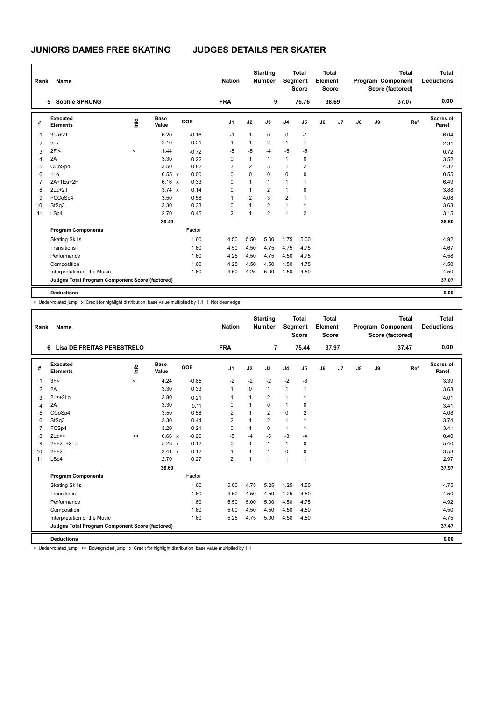| Rank           | <b>Name</b>                                     |                          |                      |         | <b>Nation</b>  |                | <b>Starting</b><br><b>Number</b> |                | <b>Total</b><br>Segment<br><b>Score</b> | Total<br>Element<br><b>Score</b> |       |               |    | <b>Total</b><br>Program Component<br>Score (factored) | Total<br><b>Deductions</b> |
|----------------|-------------------------------------------------|--------------------------|----------------------|---------|----------------|----------------|----------------------------------|----------------|-----------------------------------------|----------------------------------|-------|---------------|----|-------------------------------------------------------|----------------------------|
|                | 5 Sophie SPRUNG                                 |                          |                      |         | <b>FRA</b>     |                | 9                                |                | 75.76                                   |                                  | 38.69 |               |    | 37.07                                                 | 0.00                       |
| #              | Executed<br><b>Elements</b>                     | ۴                        | <b>Base</b><br>Value | GOE     | J <sub>1</sub> | J2             | J3                               | J <sub>4</sub> | J5                                      | J6                               | J7    | $\mathsf{J}8$ | J9 | Ref                                                   | Scores of<br>Panel         |
| $\overline{1}$ | $3Lo+2T$                                        |                          | 6.20                 | $-0.16$ | $-1$           | $\mathbf{1}$   | 0                                | 0              | $-1$                                    |                                  |       |               |    |                                                       | 6.04                       |
| $\overline{2}$ | 2Lz                                             |                          | 2.10                 | 0.21    | 1              | 1              | $\overline{2}$                   | $\mathbf{1}$   | $\mathbf{1}$                            |                                  |       |               |    |                                                       | 2.31                       |
| 3              | 2F!<                                            | $\overline{\phantom{a}}$ | 1.44                 | $-0.72$ | $-5$           | $-5$           | $-4$                             | $-5$           | $-5$                                    |                                  |       |               |    |                                                       | 0.72                       |
| 4              | 2A                                              |                          | 3.30                 | 0.22    | 0              | $\mathbf{1}$   | $\mathbf{1}$                     | $\mathbf{1}$   | 0                                       |                                  |       |               |    |                                                       | 3.52                       |
| 5              | CCoSp4                                          |                          | 3.50                 | 0.82    | 3              | $\overline{2}$ | 3                                | $\mathbf{1}$   | $\overline{2}$                          |                                  |       |               |    |                                                       | 4.32                       |
| 6              | 1Lo                                             |                          | 0.55 x               | 0.00    | 0              | $\mathbf 0$    | 0                                | $\mathbf 0$    | 0                                       |                                  |       |               |    |                                                       | 0.55                       |
| $\overline{7}$ | 2A+1Eu+2F                                       |                          | $6.16 \times$        | 0.33    | 0              | $\mathbf{1}$   | $\mathbf{1}$                     | $\mathbf{1}$   | 1                                       |                                  |       |               |    |                                                       | 6.49                       |
| 8              | $2Lz+2T$                                        |                          | $3.74 \times$        | 0.14    | 0              | 1              | $\overline{2}$                   | $\mathbf{1}$   | $\mathbf 0$                             |                                  |       |               |    |                                                       | 3.88                       |
| 9              | FCCoSp4                                         |                          | 3.50                 | 0.58    | 1              | $\overline{2}$ | 3                                | $\overline{2}$ | 1                                       |                                  |       |               |    |                                                       | 4.08                       |
| 10             | StSq3                                           |                          | 3.30                 | 0.33    | 0              | $\mathbf{1}$   | $\overline{2}$                   | $\mathbf{1}$   | 1                                       |                                  |       |               |    |                                                       | 3.63                       |
| 11             | LSp4                                            |                          | 2.70                 | 0.45    | $\overline{2}$ | 1              | $\overline{2}$                   | $\mathbf{1}$   | $\overline{2}$                          |                                  |       |               |    |                                                       | 3.15                       |
|                |                                                 |                          | 36.49                |         |                |                |                                  |                |                                         |                                  |       |               |    |                                                       | 38.69                      |
|                | <b>Program Components</b>                       |                          |                      | Factor  |                |                |                                  |                |                                         |                                  |       |               |    |                                                       |                            |
|                | <b>Skating Skills</b>                           |                          |                      | 1.60    | 4.50           | 5.50           | 5.00                             | 4.75           | 5.00                                    |                                  |       |               |    |                                                       | 4.92                       |
|                | Transitions                                     |                          |                      | 1.60    | 4.50           | 4.50           | 4.75                             | 4.75           | 4.75                                    |                                  |       |               |    |                                                       | 4.67                       |
|                | Performance                                     |                          |                      | 1.60    | 4.25           | 4.50           | 4.75                             | 4.50           | 4.75                                    |                                  |       |               |    |                                                       | 4.58                       |
|                | Composition                                     |                          |                      | 1.60    | 4.25           | 4.50           | 4.50                             | 4.50           | 4.75                                    |                                  |       |               |    |                                                       | 4.50                       |
|                | Interpretation of the Music                     |                          |                      | 1.60    | 4.50           | 4.25           | 5.00                             | 4.50           | 4.50                                    |                                  |       |               |    |                                                       | 4.50                       |
|                | Judges Total Program Component Score (factored) |                          |                      |         |                |                |                                  |                |                                         |                                  |       |               |    |                                                       | 37.07                      |
|                | <b>Deductions</b>                               |                          |                      |         |                |                |                                  |                |                                         |                                  |       |               |    |                                                       | 0.00                       |

< Under-rotated jump x Credit for highlight distribution, base value multiplied by 1.1 ! Not clear edge

| Rank            | <b>Name</b>                                     |                          |                      |         | <b>Nation</b>  |              | <b>Starting</b><br><b>Number</b> | Segment        | <b>Total</b><br><b>Score</b> | Total<br>Element<br><b>Score</b> |       |    |    | <b>Total</b><br>Program Component<br>Score (factored) | Total<br><b>Deductions</b> |
|-----------------|-------------------------------------------------|--------------------------|----------------------|---------|----------------|--------------|----------------------------------|----------------|------------------------------|----------------------------------|-------|----|----|-------------------------------------------------------|----------------------------|
|                 | Lisa DE FREITAS PERESTRELO<br>6                 |                          |                      |         | <b>FRA</b>     |              | $\overline{7}$                   |                | 75.44                        |                                  | 37.97 |    |    | 37.47                                                 | 0.00                       |
| #               | Executed<br><b>Elements</b>                     | ١nf٥                     | <b>Base</b><br>Value | GOE     | J <sub>1</sub> | J2           | J3                               | J <sub>4</sub> | J <sub>5</sub>               | J6                               | J7    | J8 | J9 | Ref                                                   | Scores of<br>Panel         |
| $\overline{1}$  | 3F<                                             | $\overline{\phantom{a}}$ | 4.24                 | $-0.85$ | $-2$           | $-2$         | $-2$                             | $-2$           | $-3$                         |                                  |       |    |    |                                                       | 3.39                       |
| 2               | 2A                                              |                          | 3.30                 | 0.33    | $\mathbf{1}$   | $\Omega$     | $\mathbf{1}$                     | $\overline{1}$ | $\mathbf{1}$                 |                                  |       |    |    |                                                       | 3.63                       |
| 3               | $2Lz + 2Lo$                                     |                          | 3.80                 | 0.21    | $\overline{1}$ | 1            | $\overline{2}$                   | $\mathbf{1}$   | $\mathbf{1}$                 |                                  |       |    |    |                                                       | 4.01                       |
| 4               | 2A                                              |                          | 3.30                 | 0.11    | 0              | $\mathbf{1}$ | 0                                | $\mathbf{1}$   | 0                            |                                  |       |    |    |                                                       | 3.41                       |
| 5               | CCoSp4                                          |                          | 3.50                 | 0.58    | $\overline{2}$ | 1            | $\overline{2}$                   | $\mathbf 0$    | $\overline{2}$               |                                  |       |    |    |                                                       | 4.08                       |
| 6               | StSq3                                           |                          | 3.30                 | 0.44    | $\overline{2}$ | $\mathbf{1}$ | $\overline{2}$                   | $\mathbf{1}$   | 1                            |                                  |       |    |    |                                                       | 3.74                       |
| $\overline{7}$  | FCSp4                                           |                          | 3.20                 | 0.21    | $\Omega$       | $\mathbf{1}$ | $\Omega$                         | $\mathbf{1}$   | 1                            |                                  |       |    |    |                                                       | 3.41                       |
| 8               | 2Lz<<                                           | <<                       | $0.66 \times$        | $-0.26$ | $-5$           | $-4$         | $-5$                             | $-3$           | $-4$                         |                                  |       |    |    |                                                       | 0.40                       |
| 9               | $2F+2T+2Lo$                                     |                          | $5.28 \times$        | 0.12    | $\Omega$       | $\mathbf{1}$ | 1                                | $\mathbf{1}$   | 0                            |                                  |       |    |    |                                                       | 5.40                       |
| 10 <sup>1</sup> | $2F+2T$                                         |                          | 3.41 x               | 0.12    | $\overline{1}$ | 1            | $\overline{1}$                   | $\Omega$       | 0                            |                                  |       |    |    |                                                       | 3.53                       |
| 11              | LSp4                                            |                          | 2.70                 | 0.27    | $\overline{2}$ | $\mathbf{1}$ | 1                                | $\overline{1}$ | $\mathbf{1}$                 |                                  |       |    |    |                                                       | 2.97                       |
|                 |                                                 |                          | 36.69                |         |                |              |                                  |                |                              |                                  |       |    |    |                                                       | 37.97                      |
|                 | <b>Program Components</b>                       |                          |                      | Factor  |                |              |                                  |                |                              |                                  |       |    |    |                                                       |                            |
|                 | <b>Skating Skills</b>                           |                          |                      | 1.60    | 5.00           | 4.75         | 5.25                             | 4.25           | 4.50                         |                                  |       |    |    |                                                       | 4.75                       |
|                 | Transitions                                     |                          |                      | 1.60    | 4.50           | 4.50         | 4.50                             | 4.25           | 4.50                         |                                  |       |    |    |                                                       | 4.50                       |
|                 | Performance                                     |                          |                      | 1.60    | 5.50           | 5.00         | 5.00                             | 4.50           | 4.75                         |                                  |       |    |    |                                                       | 4.92                       |
|                 | Composition                                     |                          |                      | 1.60    | 5.00           | 4.50         | 4.50                             | 4.50           | 4.50                         |                                  |       |    |    |                                                       | 4.50                       |
|                 | Interpretation of the Music                     |                          |                      | 1.60    | 5.25           | 4.75         | 5.00                             | 4.50           | 4.50                         |                                  |       |    |    |                                                       | 4.75                       |
|                 | Judges Total Program Component Score (factored) |                          |                      |         |                |              |                                  |                |                              |                                  |       |    |    |                                                       | 37.47                      |
|                 | <b>Deductions</b>                               |                          |                      |         |                |              |                                  |                |                              |                                  |       |    |    |                                                       | 0.00                       |

< Under-rotated jump << Downgraded jump x Credit for highlight distribution, base value multiplied by 1.1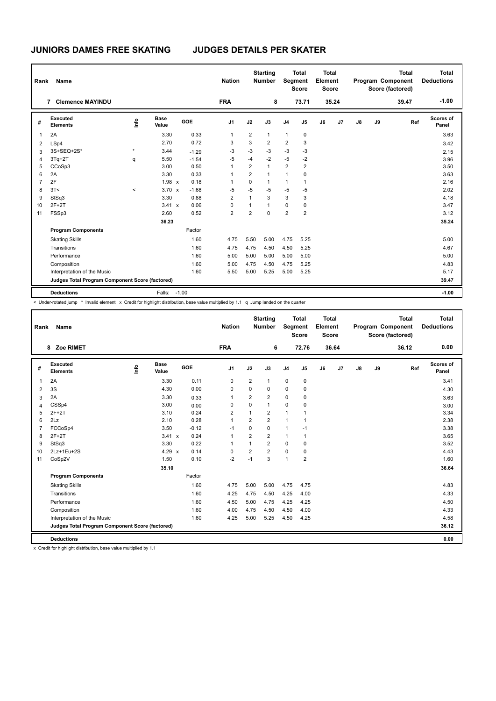| Rank           | <b>Name</b>                                     |              |                      |            | <b>Nation</b>  |                | <b>Starting</b><br><b>Number</b> |                | <b>Total</b><br><b>Segment</b><br><b>Score</b> | <b>Total</b><br>Element<br><b>Score</b> |       |    |    | <b>Total</b><br>Program Component<br>Score (factored) | <b>Total</b><br><b>Deductions</b> |
|----------------|-------------------------------------------------|--------------|----------------------|------------|----------------|----------------|----------------------------------|----------------|------------------------------------------------|-----------------------------------------|-------|----|----|-------------------------------------------------------|-----------------------------------|
|                | <b>Clemence MAYINDU</b><br>7                    |              |                      |            | <b>FRA</b>     |                | 8                                |                | 73.71                                          |                                         | 35.24 |    |    | 39.47                                                 | $-1.00$                           |
| #              | Executed<br><b>Elements</b>                     | lnfo         | <b>Base</b><br>Value | <b>GOE</b> | J <sub>1</sub> | J2             | J3                               | J <sub>4</sub> | J <sub>5</sub>                                 | J6                                      | J7    | J8 | J9 | Ref                                                   | Scores of<br>Panel                |
| $\overline{1}$ | 2A                                              |              | 3.30                 | 0.33       | 1              | 2              | $\mathbf{1}$                     | $\mathbf{1}$   | 0                                              |                                         |       |    |    |                                                       | 3.63                              |
| 2              | LSp4                                            |              | 2.70                 | 0.72       | 3              | 3              | $\overline{2}$                   | 2              | 3                                              |                                         |       |    |    |                                                       | 3.42                              |
| 3              | 3S+SEQ+2S*                                      | $\pmb{\ast}$ | 3.44                 | $-1.29$    | $-3$           | $-3$           | $-3$                             | $-3$           | $-3$                                           |                                         |       |    |    |                                                       | 2.15                              |
| $\overline{4}$ | $3Tq+2T$                                        | q            | 5.50                 | $-1.54$    | $-5$           | $-4$           | $-2$                             | $-5$           | $-2$                                           |                                         |       |    |    |                                                       | 3.96                              |
| 5              | CCoSp3                                          |              | 3.00                 | 0.50       | 1              | $\overline{2}$ | $\mathbf{1}$                     | $\overline{2}$ | $\overline{2}$                                 |                                         |       |    |    |                                                       | 3.50                              |
| 6              | 2A                                              |              | 3.30                 | 0.33       | 1              | $\overline{2}$ | $\mathbf{1}$                     | $\mathbf{1}$   | $\mathbf 0$                                    |                                         |       |    |    |                                                       | 3.63                              |
| $\overline{7}$ | 2F                                              |              | $1.98 \times$        | 0.18       | 1              | 0              | $\mathbf{1}$                     | 1              | $\overline{1}$                                 |                                         |       |    |    |                                                       | 2.16                              |
| 8              | 3T<                                             | $\,<$        | $3.70 \times$        | $-1.68$    | -5             | $-5$           | $-5$                             | $-5$           | $-5$                                           |                                         |       |    |    |                                                       | 2.02                              |
| 9              | StSq3                                           |              | 3.30                 | 0.88       | $\overline{2}$ | 1              | 3                                | 3              | 3                                              |                                         |       |    |    |                                                       | 4.18                              |
| 10             | $2F+2T$                                         |              | 3.41 x               | 0.06       | 0              | 1              | $\overline{1}$                   | $\mathbf 0$    | 0                                              |                                         |       |    |    |                                                       | 3.47                              |
| 11             | FSSp3                                           |              | 2.60                 | 0.52       | 2              | $\overline{2}$ | $\mathbf 0$                      | $\overline{2}$ | $\overline{2}$                                 |                                         |       |    |    |                                                       | 3.12                              |
|                |                                                 |              | 36.23                |            |                |                |                                  |                |                                                |                                         |       |    |    |                                                       | 35.24                             |
|                | <b>Program Components</b>                       |              |                      | Factor     |                |                |                                  |                |                                                |                                         |       |    |    |                                                       |                                   |
|                | <b>Skating Skills</b>                           |              |                      | 1.60       | 4.75           | 5.50           | 5.00                             | 4.75           | 5.25                                           |                                         |       |    |    |                                                       | 5.00                              |
|                | Transitions                                     |              |                      | 1.60       | 4.75           | 4.75           | 4.50                             | 4.50           | 5.25                                           |                                         |       |    |    |                                                       | 4.67                              |
|                | Performance                                     |              |                      | 1.60       | 5.00           | 5.00           | 5.00                             | 5.00           | 5.00                                           |                                         |       |    |    |                                                       | 5.00                              |
|                | Composition                                     |              |                      | 1.60       | 5.00           | 4.75           | 4.50                             | 4.75           | 5.25                                           |                                         |       |    |    |                                                       | 4.83                              |
|                | Interpretation of the Music                     |              |                      | 1.60       | 5.50           | 5.00           | 5.25                             | 5.00           | 5.25                                           |                                         |       |    |    |                                                       | 5.17                              |
|                | Judges Total Program Component Score (factored) |              |                      |            |                |                |                                  |                |                                                |                                         |       |    |    |                                                       | 39.47                             |
|                | <b>Deductions</b>                               |              | Falls:               | $-1.00$    |                |                |                                  |                |                                                |                                         |       |    |    |                                                       | $-1.00$                           |

< Under-rotated jump \* Invalid element x Credit for highlight distribution, base value multiplied by 1.1 q Jump landed on the quarter

| Rank           | <b>Name</b>                                     |      |                      |         | <b>Nation</b>  |                | <b>Starting</b><br><b>Number</b> | Segment        | <b>Total</b><br><b>Score</b> | <b>Total</b><br>Element<br><b>Score</b> |                |               |    | <b>Total</b><br>Program Component<br>Score (factored) | <b>Total</b><br><b>Deductions</b> |
|----------------|-------------------------------------------------|------|----------------------|---------|----------------|----------------|----------------------------------|----------------|------------------------------|-----------------------------------------|----------------|---------------|----|-------------------------------------------------------|-----------------------------------|
|                | Zoe RIMET<br>8                                  |      |                      |         | <b>FRA</b>     |                | 6                                |                | 72.76                        |                                         | 36.64          |               |    | 36.12                                                 | 0.00                              |
| #              | Executed<br><b>Elements</b>                     | lnfo | <b>Base</b><br>Value | GOE     | J <sub>1</sub> | J2             | J3                               | J <sub>4</sub> | J <sub>5</sub>               | J6                                      | J <sub>7</sub> | $\mathsf{J}8$ | J9 | Ref                                                   | Scores of<br>Panel                |
| $\overline{1}$ | 2A                                              |      | 3.30                 | 0.11    | $\mathbf 0$    | $\overline{2}$ | 1                                | $\mathbf 0$    | 0                            |                                         |                |               |    |                                                       | 3.41                              |
| 2              | 3S                                              |      | 4.30                 | 0.00    | 0              | $\Omega$       | 0                                | 0              | $\mathbf 0$                  |                                         |                |               |    |                                                       | 4.30                              |
| 3              | 2A                                              |      | 3.30                 | 0.33    | $\overline{1}$ | $\overline{2}$ | $\overline{2}$                   | 0              | 0                            |                                         |                |               |    |                                                       | 3.63                              |
| 4              | CSSp4                                           |      | 3.00                 | 0.00    | 0              | 0              | $\mathbf{1}$                     | 0              | 0                            |                                         |                |               |    |                                                       | 3.00                              |
| 5              | $2F+2T$                                         |      | 3.10                 | 0.24    | $\overline{2}$ | $\mathbf{1}$   | $\overline{2}$                   | $\mathbf{1}$   | $\mathbf{1}$                 |                                         |                |               |    |                                                       | 3.34                              |
| 6              | 2Lz                                             |      | 2.10                 | 0.28    | $\mathbf{1}$   | $\overline{2}$ | $\overline{2}$                   | $\overline{1}$ | $\mathbf{1}$                 |                                         |                |               |    |                                                       | 2.38                              |
| $\overline{7}$ | FCCoSp4                                         |      | 3.50                 | $-0.12$ | $-1$           | $\Omega$       | $\Omega$                         | $\mathbf{1}$   | $-1$                         |                                         |                |               |    |                                                       | 3.38                              |
| 8              | $2F+2T$                                         |      | $3.41 \times$        | 0.24    | $\mathbf{1}$   | $\overline{2}$ | $\overline{2}$                   | $\mathbf{1}$   | $\mathbf{1}$                 |                                         |                |               |    |                                                       | 3.65                              |
| 9              | StSq3                                           |      | 3.30                 | 0.22    | $\overline{1}$ | $\mathbf{1}$   | $\overline{2}$                   | $\Omega$       | $\mathbf 0$                  |                                         |                |               |    |                                                       | 3.52                              |
| 10             | 2Lz+1Eu+2S                                      |      | $4.29 \times$        | 0.14    | 0              | $\overline{2}$ | $\overline{2}$                   | $\mathbf 0$    | $\mathbf 0$                  |                                         |                |               |    |                                                       | 4.43                              |
| 11             | CoSp2V                                          |      | 1.50                 | 0.10    | $-2$           | $-1$           | 3                                | $\overline{1}$ | $\overline{2}$               |                                         |                |               |    |                                                       | 1.60                              |
|                |                                                 |      | 35.10                |         |                |                |                                  |                |                              |                                         |                |               |    |                                                       | 36.64                             |
|                | <b>Program Components</b>                       |      |                      | Factor  |                |                |                                  |                |                              |                                         |                |               |    |                                                       |                                   |
|                | <b>Skating Skills</b>                           |      |                      | 1.60    | 4.75           | 5.00           | 5.00                             | 4.75           | 4.75                         |                                         |                |               |    |                                                       | 4.83                              |
|                | Transitions                                     |      |                      | 1.60    | 4.25           | 4.75           | 4.50                             | 4.25           | 4.00                         |                                         |                |               |    |                                                       | 4.33                              |
|                | Performance                                     |      |                      | 1.60    | 4.50           | 5.00           | 4.75                             | 4.25           | 4.25                         |                                         |                |               |    |                                                       | 4.50                              |
|                | Composition                                     |      |                      | 1.60    | 4.00           | 4.75           | 4.50                             | 4.50           | 4.00                         |                                         |                |               |    |                                                       | 4.33                              |
|                | Interpretation of the Music                     |      |                      | 1.60    | 4.25           | 5.00           | 5.25                             | 4.50           | 4.25                         |                                         |                |               |    |                                                       | 4.58                              |
|                | Judges Total Program Component Score (factored) |      |                      |         |                |                |                                  |                |                              |                                         |                |               |    |                                                       | 36.12                             |
|                | <b>Deductions</b>                               |      |                      |         |                |                |                                  |                |                              |                                         |                |               |    |                                                       | 0.00                              |

x Credit for highlight distribution, base value multiplied by 1.1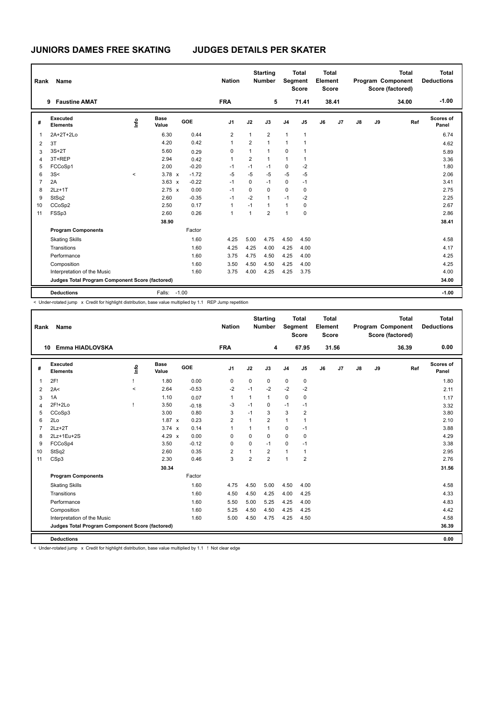| Rank           | Name                                            |         |                      |         |         | <b>Nation</b>  |                | <b>Starting</b><br><b>Number</b> |                | <b>Total</b><br>Segment<br><b>Score</b> | Total<br>Element<br><b>Score</b> |       |               |    | <b>Total</b><br>Program Component<br>Score (factored) | <b>Total</b><br><b>Deductions</b> |
|----------------|-------------------------------------------------|---------|----------------------|---------|---------|----------------|----------------|----------------------------------|----------------|-----------------------------------------|----------------------------------|-------|---------------|----|-------------------------------------------------------|-----------------------------------|
|                | <b>Faustine AMAT</b><br>9                       |         |                      |         |         | <b>FRA</b>     |                | 5                                |                | 71.41                                   |                                  | 38.41 |               |    | 34.00                                                 | $-1.00$                           |
| #              | Executed<br><b>Elements</b>                     | ۴       | <b>Base</b><br>Value |         | GOE     | J <sub>1</sub> | J2             | J3                               | J <sub>4</sub> | J5                                      | J6                               | J7    | $\mathsf{J}8$ | J9 | Ref                                                   | Scores of<br>Panel                |
| $\overline{1}$ | 2A+2T+2Lo                                       |         | 6.30                 |         | 0.44    | 2              | $\mathbf{1}$   | 2                                | $\mathbf{1}$   | 1                                       |                                  |       |               |    |                                                       | 6.74                              |
| 2              | 3T                                              |         | 4.20                 |         | 0.42    | 1              | $\overline{2}$ | $\mathbf{1}$                     | $\mathbf{1}$   | 1                                       |                                  |       |               |    |                                                       | 4.62                              |
| 3              | $3S+2T$                                         |         | 5.60                 |         | 0.29    | 0              | $\mathbf{1}$   | 1                                | $\mathbf 0$    | 1                                       |                                  |       |               |    |                                                       | 5.89                              |
| 4              | 3T+REP                                          |         | 2.94                 |         | 0.42    | 1              | $\overline{2}$ | 1                                | $\mathbf{1}$   | 1                                       |                                  |       |               |    |                                                       | 3.36                              |
| 5              | FCCoSp1                                         |         | 2.00                 |         | $-0.20$ | $-1$           | $-1$           | -1                               | 0              | $-2$                                    |                                  |       |               |    |                                                       | 1.80                              |
| 6              | 3S<                                             | $\,<\,$ | $3.78 \times$        |         | $-1.72$ | $-5$           | $-5$           | $-5$                             | $-5$           | $-5$                                    |                                  |       |               |    |                                                       | 2.06                              |
| $\overline{7}$ | 2A                                              |         | $3.63 \times$        |         | $-0.22$ | $-1$           | $\Omega$       | $-1$                             | $\mathbf 0$    | $-1$                                    |                                  |       |               |    |                                                       | 3.41                              |
| 8              | $2Lz+1T$                                        |         | $2.75 \times$        |         | 0.00    | $-1$           | $\Omega$       | $\Omega$                         | $\mathbf 0$    | $\mathbf 0$                             |                                  |       |               |    |                                                       | 2.75                              |
| 9              | StSq2                                           |         | 2.60                 |         | $-0.35$ | $-1$           | $-2$           | 1                                | $-1$           | $-2$                                    |                                  |       |               |    |                                                       | 2.25                              |
| 10             | CCoSp2                                          |         | 2.50                 |         | 0.17    | 1              | $-1$           | $\mathbf{1}$                     | 1              | 0                                       |                                  |       |               |    |                                                       | 2.67                              |
| 11             | FSSp3                                           |         | 2.60                 |         | 0.26    | 1              | 1              | $\overline{2}$                   | $\mathbf{1}$   | $\mathbf 0$                             |                                  |       |               |    |                                                       | 2.86                              |
|                |                                                 |         | 38.90                |         |         |                |                |                                  |                |                                         |                                  |       |               |    |                                                       | 38.41                             |
|                | <b>Program Components</b>                       |         |                      |         | Factor  |                |                |                                  |                |                                         |                                  |       |               |    |                                                       |                                   |
|                | <b>Skating Skills</b>                           |         |                      |         | 1.60    | 4.25           | 5.00           | 4.75                             | 4.50           | 4.50                                    |                                  |       |               |    |                                                       | 4.58                              |
|                | Transitions                                     |         |                      |         | 1.60    | 4.25           | 4.25           | 4.00                             | 4.25           | 4.00                                    |                                  |       |               |    |                                                       | 4.17                              |
|                | Performance                                     |         |                      |         | 1.60    | 3.75           | 4.75           | 4.50                             | 4.25           | 4.00                                    |                                  |       |               |    |                                                       | 4.25                              |
|                | Composition                                     |         |                      |         | 1.60    | 3.50           | 4.50           | 4.50                             | 4.25           | 4.00                                    |                                  |       |               |    |                                                       | 4.25                              |
|                | Interpretation of the Music                     |         |                      |         | 1.60    | 3.75           | 4.00           | 4.25                             | 4.25           | 3.75                                    |                                  |       |               |    |                                                       | 4.00                              |
|                | Judges Total Program Component Score (factored) |         |                      |         |         |                |                |                                  |                |                                         |                                  |       |               |    |                                                       | 34.00                             |
|                | <b>Deductions</b>                               |         | Falls:               | $-1.00$ |         |                |                |                                  |                |                                         |                                  |       |               |    |                                                       | $-1.00$                           |

< Under-rotated jump x Credit for highlight distribution, base value multiplied by 1.1 REP Jump repetition

| Rank           | Name                                            |                          |                      |         | <b>Nation</b>  |                | <b>Starting</b><br><b>Number</b> | Segment        | <b>Total</b><br><b>Score</b> | <b>Total</b><br>Element<br><b>Score</b> |       |    |    | <b>Total</b><br>Program Component<br>Score (factored) | <b>Total</b><br><b>Deductions</b> |
|----------------|-------------------------------------------------|--------------------------|----------------------|---------|----------------|----------------|----------------------------------|----------------|------------------------------|-----------------------------------------|-------|----|----|-------------------------------------------------------|-----------------------------------|
| 10             | Emma HIADLOVSKA                                 |                          |                      |         | <b>FRA</b>     |                | 4                                |                | 67.95                        |                                         | 31.56 |    |    | 36.39                                                 | 0.00                              |
| #              | Executed<br><b>Elements</b>                     | Lnfo                     | <b>Base</b><br>Value | GOE     | J <sub>1</sub> | J2             | J3                               | J <sub>4</sub> | $\mathsf{J}5$                | J6                                      | J7    | J8 | J9 | Ref                                                   | Scores of<br>Panel                |
| $\mathbf{1}$   | 2F!                                             |                          | 1.80                 | 0.00    | $\mathbf 0$    | $\mathbf 0$    | 0                                | $\pmb{0}$      | $\pmb{0}$                    |                                         |       |    |    |                                                       | 1.80                              |
| 2              | 2A<                                             | $\overline{\phantom{a}}$ | 2.64                 | $-0.53$ | $-2$           | $-1$           | $-2$                             | $-2$           | $-2$                         |                                         |       |    |    |                                                       | 2.11                              |
| 3              | 1A                                              |                          | 1.10                 | 0.07    | $\mathbf{1}$   | $\mathbf{1}$   | $\mathbf{1}$                     | $\mathbf 0$    | $\mathbf 0$                  |                                         |       |    |    |                                                       | 1.17                              |
| $\overline{4}$ | 2F!+2Lo                                         | т                        | 3.50                 | $-0.18$ | -3             | $-1$           | 0                                | $-1$           | $-1$                         |                                         |       |    |    |                                                       | 3.32                              |
| 5              | CCoSp3                                          |                          | 3.00                 | 0.80    | 3              | $-1$           | 3                                | 3              | $\overline{2}$               |                                         |       |    |    |                                                       | 3.80                              |
| 6              | 2Lo                                             |                          | $1.87 \times$        | 0.23    | 2              | 1              | $\overline{2}$                   | $\mathbf{1}$   | $\mathbf{1}$                 |                                         |       |    |    |                                                       | 2.10                              |
| $\overline{7}$ | $2Lz+2T$                                        |                          | $3.74 \times$        | 0.14    | 1              | 1              | $\mathbf{1}$                     | $\mathbf 0$    | $-1$                         |                                         |       |    |    |                                                       | 3.88                              |
| 8              | 2Lz+1Eu+2S                                      |                          | $4.29 \times$        | 0.00    | 0              | $\Omega$       | 0                                | $\mathbf 0$    | $\mathbf 0$                  |                                         |       |    |    |                                                       | 4.29                              |
| 9              | FCCoSp4                                         |                          | 3.50                 | $-0.12$ | $\Omega$       | $\Omega$       | $-1$                             | $\mathbf 0$    | $-1$                         |                                         |       |    |    |                                                       | 3.38                              |
| 10             | StSq2                                           |                          | 2.60                 | 0.35    | $\overline{2}$ |                | $\overline{2}$                   | $\mathbf{1}$   | 1                            |                                         |       |    |    |                                                       | 2.95                              |
| 11             | CSp3                                            |                          | 2.30                 | 0.46    | 3              | $\overline{2}$ | $\overline{2}$                   | $\overline{1}$ | $\overline{2}$               |                                         |       |    |    |                                                       | 2.76                              |
|                |                                                 |                          | 30.34                |         |                |                |                                  |                |                              |                                         |       |    |    |                                                       | 31.56                             |
|                | <b>Program Components</b>                       |                          |                      | Factor  |                |                |                                  |                |                              |                                         |       |    |    |                                                       |                                   |
|                | <b>Skating Skills</b>                           |                          |                      | 1.60    | 4.75           | 4.50           | 5.00                             | 4.50           | 4.00                         |                                         |       |    |    |                                                       | 4.58                              |
|                | Transitions                                     |                          |                      | 1.60    | 4.50           | 4.50           | 4.25                             | 4.00           | 4.25                         |                                         |       |    |    |                                                       | 4.33                              |
|                | Performance                                     |                          |                      | 1.60    | 5.50           | 5.00           | 5.25                             | 4.25           | 4.00                         |                                         |       |    |    |                                                       | 4.83                              |
|                | Composition                                     |                          |                      | 1.60    | 5.25           | 4.50           | 4.50                             | 4.25           | 4.25                         |                                         |       |    |    |                                                       | 4.42                              |
|                | Interpretation of the Music                     |                          |                      | 1.60    | 5.00           | 4.50           | 4.75                             | 4.25           | 4.50                         |                                         |       |    |    |                                                       | 4.58                              |
|                | Judges Total Program Component Score (factored) |                          |                      |         |                |                |                                  |                |                              |                                         |       |    |    |                                                       | 36.39                             |
|                | <b>Deductions</b>                               |                          |                      |         |                |                |                                  |                |                              |                                         |       |    |    |                                                       | 0.00                              |

< Under-rotated jump x Credit for highlight distribution, base value multiplied by 1.1 ! Not clear edge